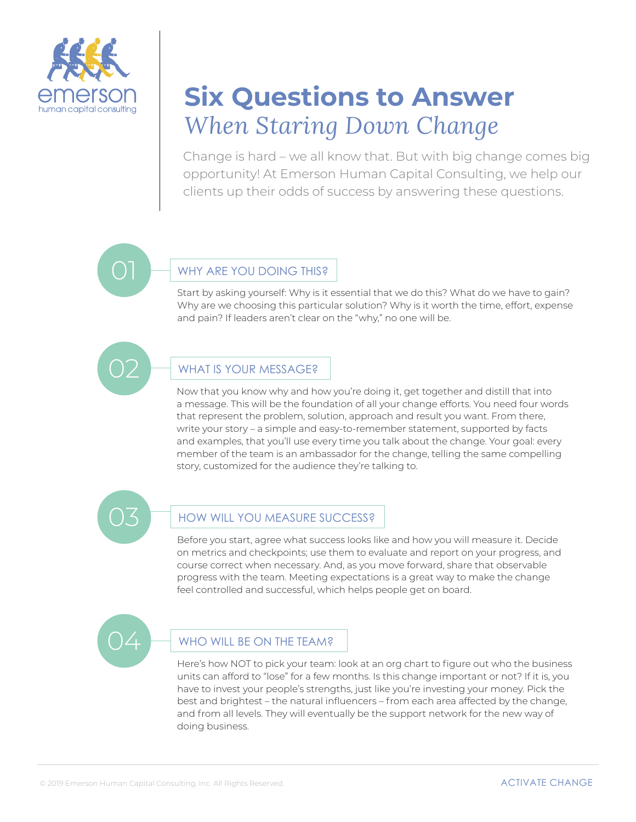

# **Six Questions to Answer** *When Staring Down Change*

Change is hard – we all know that. But with big change comes big opportunity! At Emerson Human Capital Consulting, we help our clients up their odds of success by answering these questions.

#### WHY ARE YOU DOING THIS?

Start by asking yourself: Why is it essential that we do this? What do we have to gain? Why are we choosing this particular solution? Why is it worth the time, effort, expense and pain? If leaders aren't clear on the "why," no one will be.



#### WHAT IS YOUR MESSAGE?

Now that you know why and how you're doing it, get together and distill that into a message. This will be the foundation of all your change efforts. You need four words that represent the problem, solution, approach and result you want. From there, write your story – a simple and easy-to-remember statement, supported by facts and examples, that you'll use every time you talk about the change. Your goal: every member of the team is an ambassador for the change, telling the same compelling story, customized for the audience they're talking to.

### HOW WILL YOU MEASURE SUCCESS?

Before you start, agree what success looks like and how you will measure it. Decide on metrics and checkpoints; use them to evaluate and report on your progress, and course correct when necessary. And, as you move forward, share that observable progress with the team. Meeting expectations is a great way to make the change feel controlled and successful, which helps people get on board.



#### WHO WILL BE ON THE TEAM?

Here's how NOT to pick your team: look at an org chart to figure out who the business units can afford to "lose" for a few months. Is this change important or not? If it is, you have to invest your people's strengths, just like you're investing your money. Pick the best and brightest – the natural influencers – from each area affected by the change, and from all levels. They will eventually be the support network for the new way of doing business.